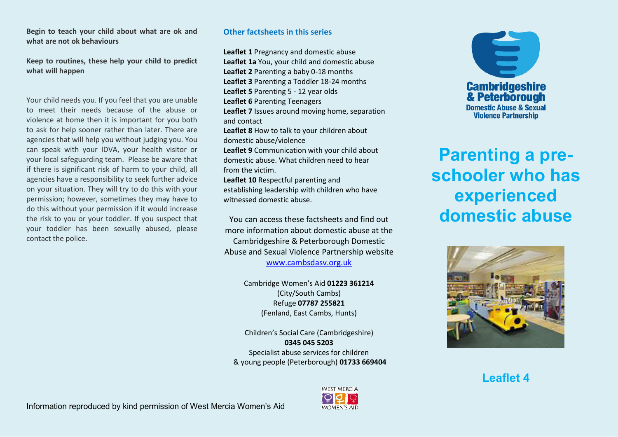#### **Begin to teach your child about what are ok and what are not ok behaviours**

**Keep to routines, these help your child to predict what will happen**

Your child needs you. If you feel that you are unable to meet their needs because of the abuse or violence at home then it is important for you both to ask for help sooner rather than later. There are agencies that will help you without judging you. You can speak with your IDVA, your health visitor or your local safeguarding team. Please be aware that if there is significant risk of harm to your child, all agencies have a responsibility to seek further advice on your situation. They will try to do this with your permission; however, sometimes they may have to do this without your permission if it would increase the risk to you or your toddler. If you suspect that your toddler has been sexually abused, please contact the police.

## **Other factsheets in this series**

**Leaflet 1** Pregnancy and domestic abuse **Leaflet 1a** You, your child and domestic abuse **Leaflet 2** Parenting a baby 0-18 months **Leaflet 3** Parenting a Toddler 18-24 months **Leaflet 5** Parenting 5 - 12 year olds **Leaflet 6** Parenting Teenagers **Leaflet 7** Issues around moving home, separation and contact **Leaflet 8** How to talk to your children about domestic abuse/violence **Leaflet 9** Communication with your child about domestic abuse. What children need to hear from the victim. **Leaflet 10** Respectful parenting and establishing leadership with children who have witnessed domestic abuse.

You can access these factsheets and find out more information about domestic abuse at the Cambridgeshire & Peterborough Domestic Abuse and Sexual Violence Partnership website [www.cambsdasv.org.uk](http://www.cambsdasv.org.uk/) 

> Cambridge Women's Aid 01223 361214 (City/South Cambs) Refuge **07787 255821**  (Fenland, East Cambs, Hunts)

Children's Social Care (Cambridgeshire) **0345 045 5203**  Specialist abuse services for children & young people (Peterborough) **01733 669404** 



**Parenting a preschooler who has experienced domestic abuse** 



**Leaflet 4**



**WEST MERCIA WOMEN'S AID**